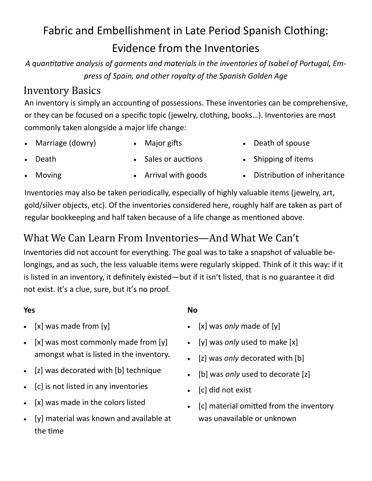# Fabric and Embellishment in Late Period Spanish Clothing: Evidence from the Inventories

*A quantitative analysis of garments and materials in the inventories of Isabel of Portugal, Empress of Spain, and other royalty of the Spanish Golden Age*

## Inventory Basics

An inventory is simply an accounting of possessions. These inventories can be comprehensive, or they can be focused on a specific topic (jewelry, clothing, books…). Inventories are most commonly taken alongside a major life change:

- Marriage (dowry)
- Major gifts

• Death of spouse

• Death

- Sales or auctions
- Shipping of items

• Moving

- Arrival with goods
- Distribution of inheritance

Inventories may also be taken periodically, especially of highly valuable items (jewelry, art, gold/silver objects, etc). Of the inventories considered here, roughly half are taken as part of regular bookkeeping and half taken because of a life change as mentioned above.

## What We Can Learn From Inventories—And What We Can't

Inventories did not account for everything. The goal was to take a snapshot of valuable belongings, and as such, the less valuable items were regularly skipped. Think of it this way: if it is listed in an inventory, it definitely existed—but if it isn't listed, that is no guarantee it did not exist. It's a clue, sure, but it's no proof.

### **Yes**

- $[x]$  was made from  $[y]$
- $[x]$  was most commonly made from  $[y]$ amongst what is listed in the inventory.
- [z] was decorated with [b] technique
- [c] is not listed in any inventories
- [x] was made in the colors listed
- [y] material was known and available at the time

### **No**

- [x] was *only* made of [y]
- [y] was *only* used to make [x]
- [z] was *only* decorated with [b]
- [b] was *only* used to decorate [z]
- [c] did not exist
- [c] material omitted from the inventory was unavailable or unknown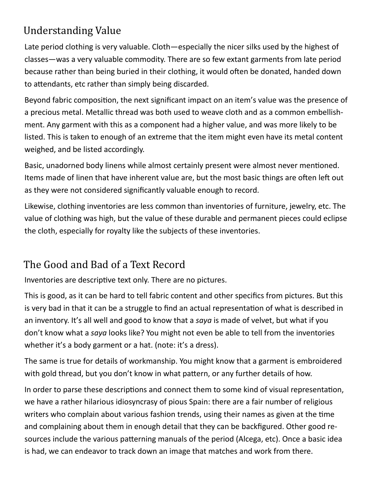## Understanding Value

Late period clothing is very valuable. Cloth—especially the nicer silks used by the highest of classes—was a very valuable commodity. There are so few extant garments from late period because rather than being buried in their clothing, it would often be donated, handed down to attendants, etc rather than simply being discarded.

Beyond fabric composition, the next significant impact on an item's value was the presence of a precious metal. Metallic thread was both used to weave cloth and as a common embellishment. Any garment with this as a component had a higher value, and was more likely to be listed. This is taken to enough of an extreme that the item might even have its metal content weighed, and be listed accordingly.

Basic, unadorned body linens while almost certainly present were almost never mentioned. Items made of linen that have inherent value are, but the most basic things are often left out as they were not considered significantly valuable enough to record.

Likewise, clothing inventories are less common than inventories of furniture, jewelry, etc. The value of clothing was high, but the value of these durable and permanent pieces could eclipse the cloth, especially for royalty like the subjects of these inventories.

## The Good and Bad of a Text Record

Inventories are descriptive text only. There are no pictures.

This is good, as it can be hard to tell fabric content and other specifics from pictures. But this is very bad in that it can be a struggle to find an actual representation of what is described in an inventory. It's all well and good to know that a *saya* is made of velvet, but what if you don't know what a *saya* looks like? You might not even be able to tell from the inventories whether it's a body garment or a hat. (note: it's a dress).

The same is true for details of workmanship. You might know that a garment is embroidered with gold thread, but you don't know in what pattern, or any further details of how.

In order to parse these descriptions and connect them to some kind of visual representation, we have a rather hilarious idiosyncrasy of pious Spain: there are a fair number of religious writers who complain about various fashion trends, using their names as given at the time and complaining about them in enough detail that they can be backfigured. Other good resources include the various patterning manuals of the period (Alcega, etc). Once a basic idea is had, we can endeavor to track down an image that matches and work from there.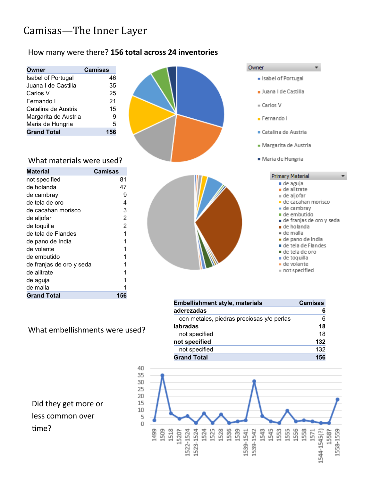## Camisas—The Inner Layer

#### How many were there? **156 total across 24 inventories**

| Owner                | <b>Camisas</b> |
|----------------------|----------------|
| Isabel of Portugal   | 46             |
| Juana I de Castilla  | 35             |
| Carlos V             | 25             |
| Fernando I           | 21             |
| Catalina de Austria  | 15             |
| Margarita de Austria | g              |
| Maria de Hungria     | 5              |
| <b>Grand Total</b>   |                |



#### What materials were used?

| Material                 | Camisas |
|--------------------------|---------|
| not specified            | 81      |
| de holanda               | 47      |
| de cambray               | 9       |
| de tela de oro           | 4       |
| de cacahan morisco       | 3       |
| de aljofar               | 2       |
| de toquilla              | 2       |
| de tela de Flandes       | 1       |
| de pano de India         | 1       |
| de volante               | 1       |
| de embutido              | 1       |
| de franjas de oro y seda |         |
| de alitrate              | 1       |
| de aguja                 | 1       |
| de malla                 | 1       |
| <b>Grand Total</b>       | 156     |

#### What embellishments were used?

Did they get more or less common over time?



÷

| <b>Embellishment style, materials</b>     | <b>Camisas</b> |
|-------------------------------------------|----------------|
| aderezadas                                | 6              |
| con metales, piedras preciosas y/o perlas | 6              |
| labradas                                  | 18             |
| not specified                             | 18             |
| not specified                             | 132            |
| not specified                             | 132            |
| <b>Grand Total</b>                        | 156            |

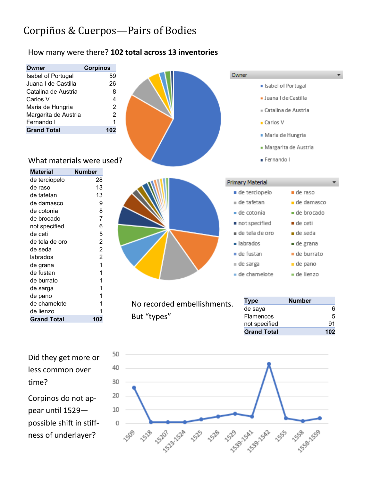## Corpiños & Cuerpos-Pairs of Bodies

#### How many were there? **102 total across 13 inventories**



Did they get more or less common over time? Corpinos do not appear until 1529 possible shift in stiff-

ness of underlayer?

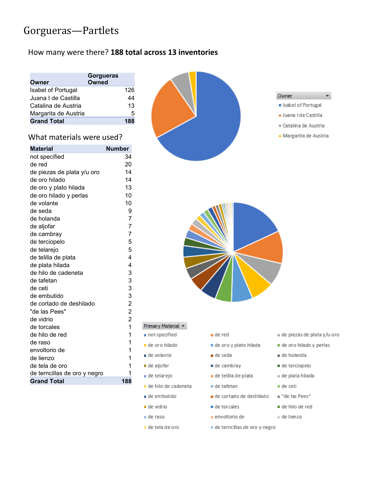## Gorgueras—Partlets

#### How many were there? **188 total across 13 inventories**

| 126              |
|------------------|
| 44               |
| 13               |
| 5                |
| 188              |
| <b>Gorgueras</b> |

#### What materials were used?

| <b>Material</b>              | <b>Number</b>           |
|------------------------------|-------------------------|
| not specified                | 34                      |
| de red                       | 20                      |
| de piezas de plata y/u oro   | 14                      |
| de oro hilado                | 14                      |
| de oro y plato hilada        | 13                      |
| de oro hilado y perlas       | 10                      |
| de volante                   | 10                      |
| de seda                      | 9                       |
| de holanda                   | $\overline{7}$          |
| de aljofar                   | 7                       |
| de cambray                   | 7                       |
| de terciopelo                | 5                       |
| de telarejo                  | 5                       |
| de telilla de plata          | $\overline{4}$          |
| de plata hilada              | 4                       |
| de hilo de cadeneta          | 3                       |
| de tafetan                   | 3                       |
| de ceti                      | 3                       |
| de embutido                  | 3                       |
| de cortado de deshilado      | $\overline{c}$          |
| "de las Pees"                | $\overline{c}$          |
| de vidrio                    | $\overline{\mathbf{c}}$ |
| de torcales                  | $\overline{1}$          |
| de hilo de red               | 1                       |
| de raso                      | 1                       |
| envoltorio de                | $\overline{1}$          |
| de lienzo                    | 1                       |
| de tela de oro               | 1                       |
| de terncillas de oro y negro | 1                       |
| <b>Grand Total</b>           | 188                     |





#### Primary Material

- not specified
- · de oro hilado
- de volante
- de aljofar
- de telarejo
- · de hilo de cadeneta
- de embutido
- de vidrio
- de raso
- · de tela de oro
- de red
- de oro y plato hilada
- de seda
- de cambray
- de telilla de plata
- de tafetan
- de cortado de deshilado
- $\blacksquare$  de torcales
- envoltorio de
- de terncillas de oro y negro
- u de piezas de plata y/u oro
- de oro hilado y perlas
- a de holanda
- de terciopelo
- u de plata hilada
- $\blacksquare$  de ceti
- "de las Pees"
- de hilo de red
- u de lienzo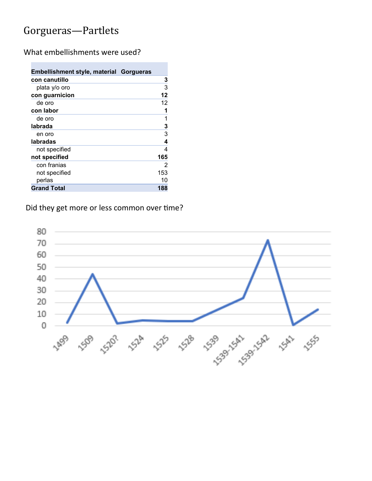## Gorgueras—Partlets

**College** 

What embellishments were used?

| Embellishment style, material Gorgueras |     |
|-----------------------------------------|-----|
| con canutillo                           | 3   |
| plata y/o oro                           | 3   |
| con guarnicion                          | 12  |
| de oro                                  | 12  |
| con labor                               | 1   |
| de oro                                  | 1   |
| labrada                                 | 3   |
| en oro                                  | 3   |
| labradas                                | 4   |
| not specified                           | 4   |
| not specified                           | 165 |
| con franias                             | 2   |
| not specified                           | 153 |
| perlas                                  | 10  |
| <b>Grand Total</b>                      | 188 |

### Did they get more or less common over time?

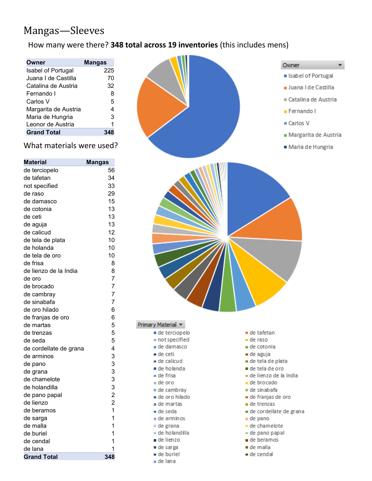## Mangas—Sleeves

### How many were there? **348 total across 19 inventories** (this includes mens)

| Owner                     | Mangas |
|---------------------------|--------|
| <b>Isabel of Portugal</b> | 225    |
| Juana I de Castilla       | 70     |
| Catalina de Austria       | 32     |
| Fernando I                | 8      |
| Carlos V                  | 5      |
| Margarita de Austria      | 4      |
| Maria de Hungria          | 3      |
| Leonor de Austria         | 1      |
| <b>Grand Total</b>        |        |

#### What materials were used?

| <b>Material</b>        | Mangas         |
|------------------------|----------------|
| de terciopelo          | 56             |
| de tafetan             | 34             |
| not specified          | 33             |
| de raso                | 29             |
| de damasco             | 15             |
| de cotonia             | 13             |
| de ceti                | 13             |
| de aguja               | 13             |
| de calicud             | 12             |
| de tela de plata       | 10             |
| de holanda             | 10             |
| de tela de oro         | 10             |
| de frisa               | 8              |
| de lienzo de la India  | 8              |
| de oro                 | 7              |
| de brocado             | 7              |
| de cambray             | 7              |
| de sinabafa            | $\overline{7}$ |
| de oro hilado          | 6              |
| de franjas de oro      | 6              |
| de martas              | 5              |
| de trenzas             | 5              |
| de seda                | 5              |
| de cordellate de grana | 4              |
| de arminos             |                |
| de pano                |                |
| de grana               |                |
| de chamelote           |                |
| de holandilla          | 33332          |
| de pano papal          |                |
| de lienzo              | $\overline{2}$ |
| de beramos             | $\overline{1}$ |
| de sarga               | $\mathbf 1$    |
| de malla               | 1              |
| de buriel              | 1              |
| de cendal              | $\overline{1}$ |
| de lana                | 1              |
| <b>Grand Total</b>     | 348            |

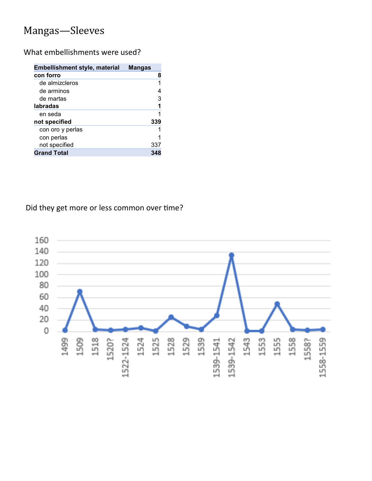## Mangas—Sleeves

What embellishments were used?

| <b>Embellishment style, material</b> | <b>Mangas</b> |
|--------------------------------------|---------------|
| con forro                            | 8             |
| de almizcleros                       | 1             |
| de arminos                           | 4             |
| de martas                            | 3             |
| labradas                             | 1             |
| en seda                              | 1             |
| not specified                        | 339           |
| con oro y perlas                     |               |
| con perlas                           |               |
| not specified                        | 337           |
| <b>Grand Total</b>                   | 348           |

Did they get more or less common over time?

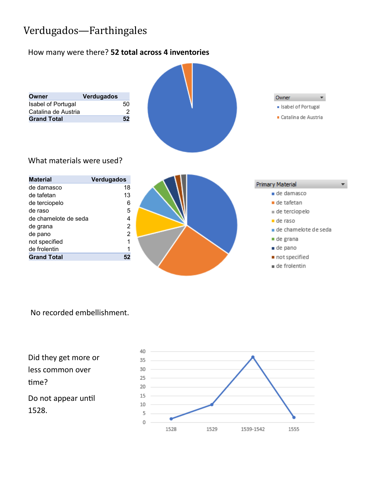## Verdugados—Farthingales

#### How many were there? **52 total across 4 inventories**



#### No recorded embellishment.

Did they get more or less common over time? Do not appear until 1528.

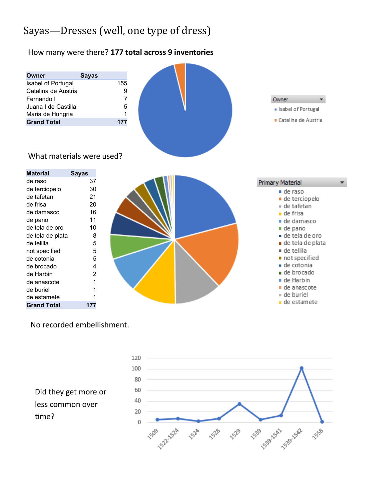## Sayas—Dresses (well, one type of dress)

#### How many were there? **177 total across 9 inventories**



No recorded embellishment.

Did they get more or less common over time?

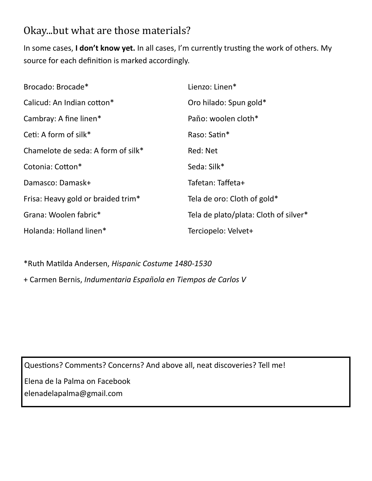## Okay...but what are those materials?

In some cases, **I don't know yet.** In all cases, I'm currently trusting the work of others. My source for each definition is marked accordingly.

| Brocado: Brocade*                  | Lienzo: Linen*                        |
|------------------------------------|---------------------------------------|
| Calicud: An Indian cotton*         | Oro hilado: Spun gold*                |
| Cambray: A fine linen*             | Paño: woolen cloth*                   |
| Ceti: A form of silk*              | Raso: Satin*                          |
| Chamelote de seda: A form of silk* | Red: Net                              |
| Cotonia: Cotton*                   | Seda: Silk*                           |
| Damasco: Damask+                   | Tafetan: Taffeta+                     |
| Frisa: Heavy gold or braided trim* | Tela de oro: Cloth of gold*           |
| Grana: Woolen fabric*              | Tela de plato/plata: Cloth of silver* |
| Holanda: Holland linen*            | Terciopelo: Velvet+                   |

\*Ruth Matilda Andersen, *Hispanic Costume 1480-1530*

+ Carmen Bernis, *Indumentaria Española en Tiempos de Carlos V*

Questions? Comments? Concerns? And above all, neat discoveries? Tell me!

Elena de la Palma on Facebook elenadelapalma@gmail.com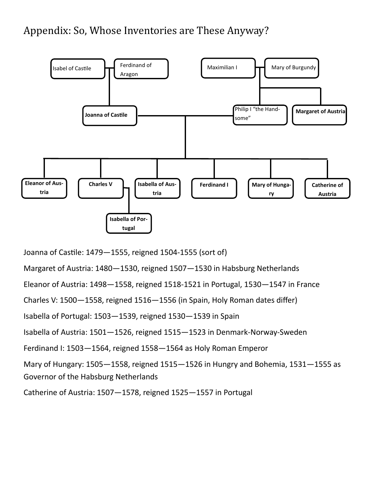## Appendix: So, Whose Inventories are These Anyway?



Joanna of Castile: 1479—1555, reigned 1504-1555 (sort of)

Margaret of Austria: 1480—1530, reigned 1507—1530 in Habsburg Netherlands

Eleanor of Austria: 1498—1558, reigned 1518-1521 in Portugal, 1530—1547 in France

Charles V: 1500—1558, reigned 1516—1556 (in Spain, Holy Roman dates differ)

Isabella of Portugal: 1503—1539, reigned 1530—1539 in Spain

Isabella of Austria: 1501—1526, reigned 1515—1523 in Denmark-Norway-Sweden

Ferdinand I: 1503—1564, reigned 1558—1564 as Holy Roman Emperor

Mary of Hungary: 1505—1558, reigned 1515—1526 in Hungry and Bohemia, 1531—1555 as Governor of the Habsburg Netherlands

Catherine of Austria: 1507—1578, reigned 1525—1557 in Portugal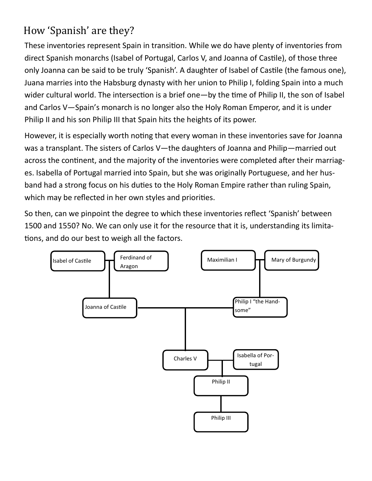## How 'Spanish' are they?

These inventories represent Spain in transition. While we do have plenty of inventories from direct Spanish monarchs (Isabel of Portugal, Carlos V, and Joanna of Castile), of those three only Joanna can be said to be truly 'Spanish'. A daughter of Isabel of Castile (the famous one), Juana marries into the Habsburg dynasty with her union to Philip I, folding Spain into a much wider cultural world. The intersection is a brief one—by the time of Philip II, the son of Isabel and Carlos V—Spain's monarch is no longer also the Holy Roman Emperor, and it is under Philip II and his son Philip III that Spain hits the heights of its power.

However, it is especially worth noting that every woman in these inventories save for Joanna was a transplant. The sisters of Carlos V—the daughters of Joanna and Philip—married out across the continent, and the majority of the inventories were completed after their marriages. Isabella of Portugal married into Spain, but she was originally Portuguese, and her husband had a strong focus on his duties to the Holy Roman Empire rather than ruling Spain, which may be reflected in her own styles and priorities.

So then, can we pinpoint the degree to which these inventories reflect 'Spanish' between 1500 and 1550? No. We can only use it for the resource that it is, understanding its limitations, and do our best to weigh all the factors.

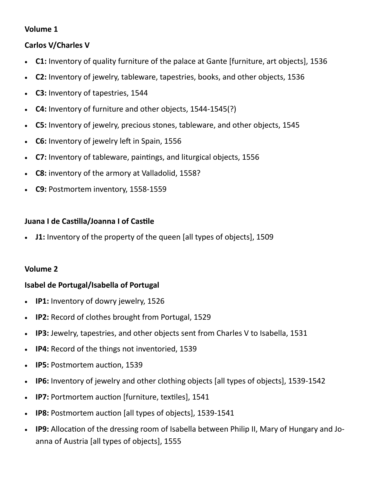### **Volume 1**

### **Carlos V/Charles V**

- **C1:** Inventory of quality furniture of the palace at Gante [furniture, art objects], 1536
- **C2:** Inventory of jewelry, tableware, tapestries, books, and other objects, 1536
- **C3:** Inventory of tapestries, 1544
- **C4:** Inventory of furniture and other objects, 1544-1545(?)
- **C5:** Inventory of jewelry, precious stones, tableware, and other objects, 1545
- **C6:** Inventory of jewelry left in Spain, 1556
- **C7:** Inventory of tableware, paintings, and liturgical objects, 1556
- **C8:** inventory of the armory at Valladolid, 1558?
- **C9:** Postmortem inventory, 1558-1559

### **Juana I de Castilla/Joanna I of Castile**

**J1:** Inventory of the property of the queen [all types of objects], 1509

### **Volume 2**

### **Isabel de Portugal/Isabella of Portugal**

- **IP1:** Inventory of dowry jewelry, 1526
- **IP2:** Record of clothes brought from Portugal, 1529
- **IP3:** Jewelry, tapestries, and other objects sent from Charles V to Isabella, 1531
- **IP4:** Record of the things not inventoried, 1539
- **IP5:** Postmortem auction, 1539
- **IP6:** Inventory of jewelry and other clothing objects [all types of objects], 1539-1542
- **IP7:** Portmortem auction [furniture, textiles], 1541
- **IP8:** Postmortem auction [all types of objects], 1539-1541
- **IP9:** Allocation of the dressing room of Isabella between Philip II, Mary of Hungary and Joanna of Austria [all types of objects], 1555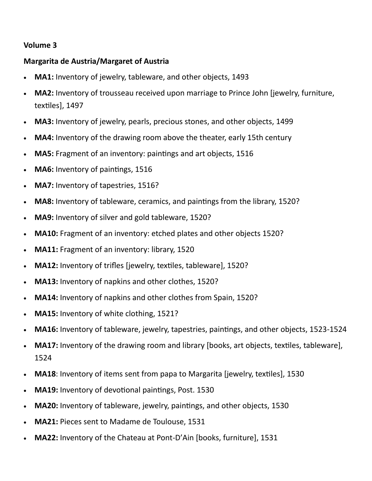### **Volume 3**

### **Margarita de Austria/Margaret of Austria**

- **MA1:** Inventory of jewelry, tableware, and other objects, 1493
- **MA2:** Inventory of trousseau received upon marriage to Prince John [jewelry, furniture, textiles], 1497
- **MA3:** Inventory of jewelry, pearls, precious stones, and other objects, 1499
- **MA4:** Inventory of the drawing room above the theater, early 15th century
- **MA5:** Fragment of an inventory: paintings and art objects, 1516
- **MA6:** Inventory of paintings, 1516
- **MA7:** Inventory of tapestries, 1516?
- **MA8:** Inventory of tableware, ceramics, and paintings from the library, 1520?
- **MA9:** Inventory of silver and gold tableware, 1520?
- **MA10:** Fragment of an inventory: etched plates and other objects 1520?
- **MA11:** Fragment of an inventory: library, 1520
- **MA12:** Inventory of trifles [jewelry, textiles, tableware], 1520?
- **MA13:** Inventory of napkins and other clothes, 1520?
- **MA14:** Inventory of napkins and other clothes from Spain, 1520?
- **MA15:** Inventory of white clothing, 1521?
- **MA16:** Inventory of tableware, jewelry, tapestries, paintings, and other objects, 1523-1524
- **MA17:** Inventory of the drawing room and library [books, art objects, textiles, tableware], 1524
- **MA18**: Inventory of items sent from papa to Margarita [jewelry, textiles], 1530
- **MA19:** Inventory of devotional paintings, Post. 1530
- **MA20:** Inventory of tableware, jewelry, paintings, and other objects, 1530
- **MA21:** Pieces sent to Madame de Toulouse, 1531
- **MA22:** Inventory of the Chateau at Pont-D'Ain [books, furniture], 1531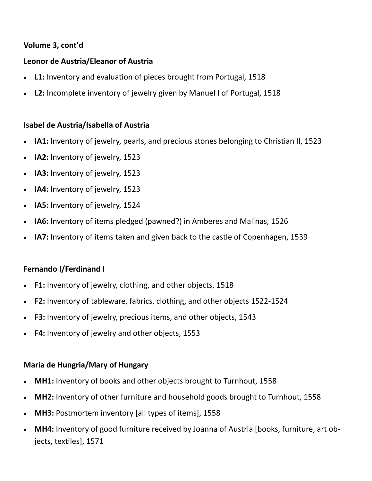### **Volume 3, cont'd**

### **Leonor de Austria/Eleanor of Austria**

- **L1:** Inventory and evaluation of pieces brought from Portugal, 1518
- **L2:** Incomplete inventory of jewelry given by Manuel I of Portugal, 1518

#### **Isabel de Austria/Isabella of Austria**

- **IA1:** Inventory of jewelry, pearls, and precious stones belonging to Christian II, 1523
- **IA2:** Inventory of jewelry, 1523
- **IA3:** Inventory of jewelry, 1523
- **IA4:** Inventory of jewelry, 1523
- **IA5:** Inventory of jewelry, 1524
- **IA6:** Inventory of items pledged (pawned?) in Amberes and Malinas, 1526
- **IA7:** Inventory of items taken and given back to the castle of Copenhagen, 1539

### **Fernando I/Ferdinand I**

- **F1:** Inventory of jewelry, clothing, and other objects, 1518
- **F2:** Inventory of tableware, fabrics, clothing, and other objects 1522-1524
- **F3:** Inventory of jewelry, precious items, and other objects, 1543
- **F4:** Inventory of jewelry and other objects, 1553

#### **María de Hungria/Mary of Hungary**

- **MH1:** Inventory of books and other objects brought to Turnhout, 1558
- **MH2:** Inventory of other furniture and household goods brought to Turnhout, 1558
- **MH3:** Postmortem inventory [all types of items], 1558
- **MH4:** Inventory of good furniture received by Joanna of Austria [books, furniture, art objects, textiles], 1571